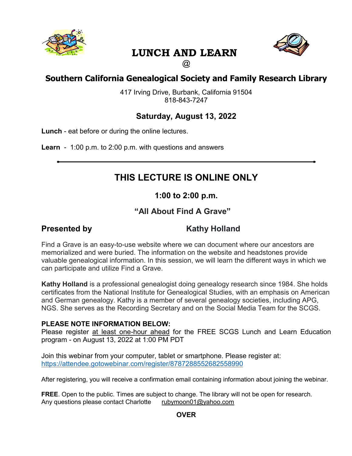

# **LUNCH AND LEARN**



## $\circledR$

# **Southern California Genealogical Society and Family Research Library**

417 Irving Drive, Burbank, California 91504 818-843-7247

## **Saturday, August 13, 2022**

**Lunch** - eat before or during the online lectures.

**Learn** - 1:00 p.m. to 2:00 p.m. with questions and answers

# **THIS LECTURE IS ONLINE ONLY**

## **1:00 to 2:00 p.m.**

# **"All About Find A Grave"**

# **Presented by Kathy Holland**

Find a Grave is an easy-to-use website where we can document where our ancestors are memorialized and were buried. The information on the website and headstones provide valuable genealogical information. In this session, we will learn the different ways in which we can participate and utilize Find a Grave.

**Kathy Holland** is a professional genealogist doing genealogy research since 1984. She holds certificates from the National Institute for Genealogical Studies, with an emphasis on American and German genealogy. Kathy is a member of several genealogy societies, including APG, NGS. She serves as the Recording Secretary and on the Social Media Team for the SCGS.

### **PLEASE NOTE INFORMATION BELOW:**

Please register at least one-hour ahead for the FREE SCGS Lunch and Learn Education program - on August 13, 2022 at 1:00 PM PDT

Join this webinar from your computer, tablet or smartphone. Please register at: https://attendee.gotowebinar.com/register/8787288552682558990

After registering, you will receive a confirmation email containing information about joining the webinar.

**FREE**. Open to the public. Times are subject to change. The library will not be open for research.<br>Any questions please contact Charlotte rubymoon01@yahoo.com Any questions please contact Charlotte

**OVER**